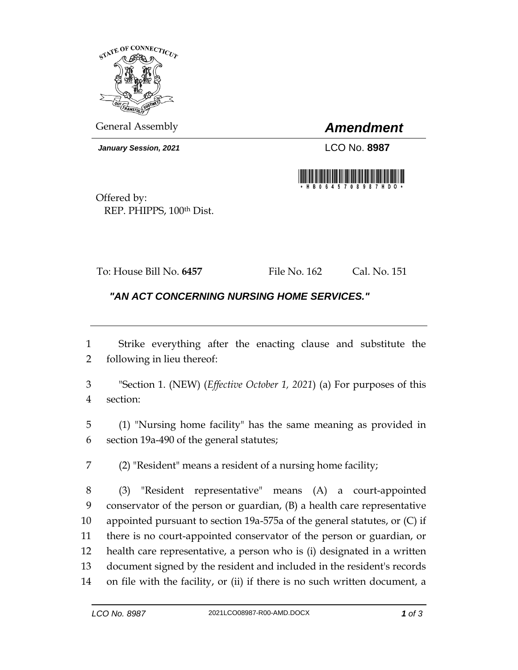

General Assembly *Amendment*

*January Session, 2021* LCO No. **8987**



Offered by: REP. PHIPPS, 100th Dist.

To: House Bill No. **6457** File No. 162 Cal. No. 151

## *"AN ACT CONCERNING NURSING HOME SERVICES."*

 Strike everything after the enacting clause and substitute the following in lieu thereof:

 "Section 1. (NEW) (*Effective October 1, 2021*) (a) For purposes of this section:

 (1) "Nursing home facility" has the same meaning as provided in section 19a-490 of the general statutes;

(2) "Resident" means a resident of a nursing home facility;

 (3) "Resident representative" means (A) a court-appointed conservator of the person or guardian, (B) a health care representative appointed pursuant to section 19a-575a of the general statutes, or (C) if there is no court-appointed conservator of the person or guardian, or health care representative, a person who is (i) designated in a written document signed by the resident and included in the resident's records on file with the facility, or (ii) if there is no such written document, a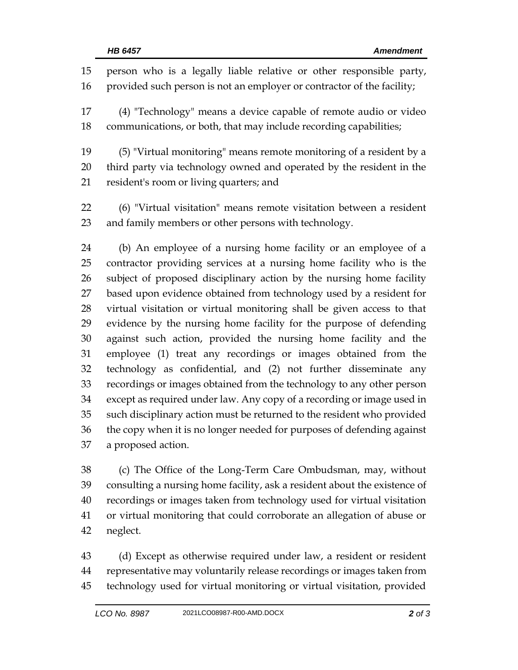person who is a legally liable relative or other responsible party, 16 provided such person is not an employer or contractor of the facility; (4) "Technology" means a device capable of remote audio or video communications, or both, that may include recording capabilities; (5) "Virtual monitoring" means remote monitoring of a resident by a third party via technology owned and operated by the resident in the resident's room or living quarters; and (6) "Virtual visitation" means remote visitation between a resident and family members or other persons with technology. (b) An employee of a nursing home facility or an employee of a contractor providing services at a nursing home facility who is the subject of proposed disciplinary action by the nursing home facility based upon evidence obtained from technology used by a resident for virtual visitation or virtual monitoring shall be given access to that evidence by the nursing home facility for the purpose of defending against such action, provided the nursing home facility and the employee (1) treat any recordings or images obtained from the technology as confidential, and (2) not further disseminate any recordings or images obtained from the technology to any other person except as required under law. Any copy of a recording or image used in such disciplinary action must be returned to the resident who provided the copy when it is no longer needed for purposes of defending against a proposed action.

 (c) The Office of the Long-Term Care Ombudsman, may, without consulting a nursing home facility, ask a resident about the existence of recordings or images taken from technology used for virtual visitation or virtual monitoring that could corroborate an allegation of abuse or neglect.

 (d) Except as otherwise required under law, a resident or resident representative may voluntarily release recordings or images taken from technology used for virtual monitoring or virtual visitation, provided